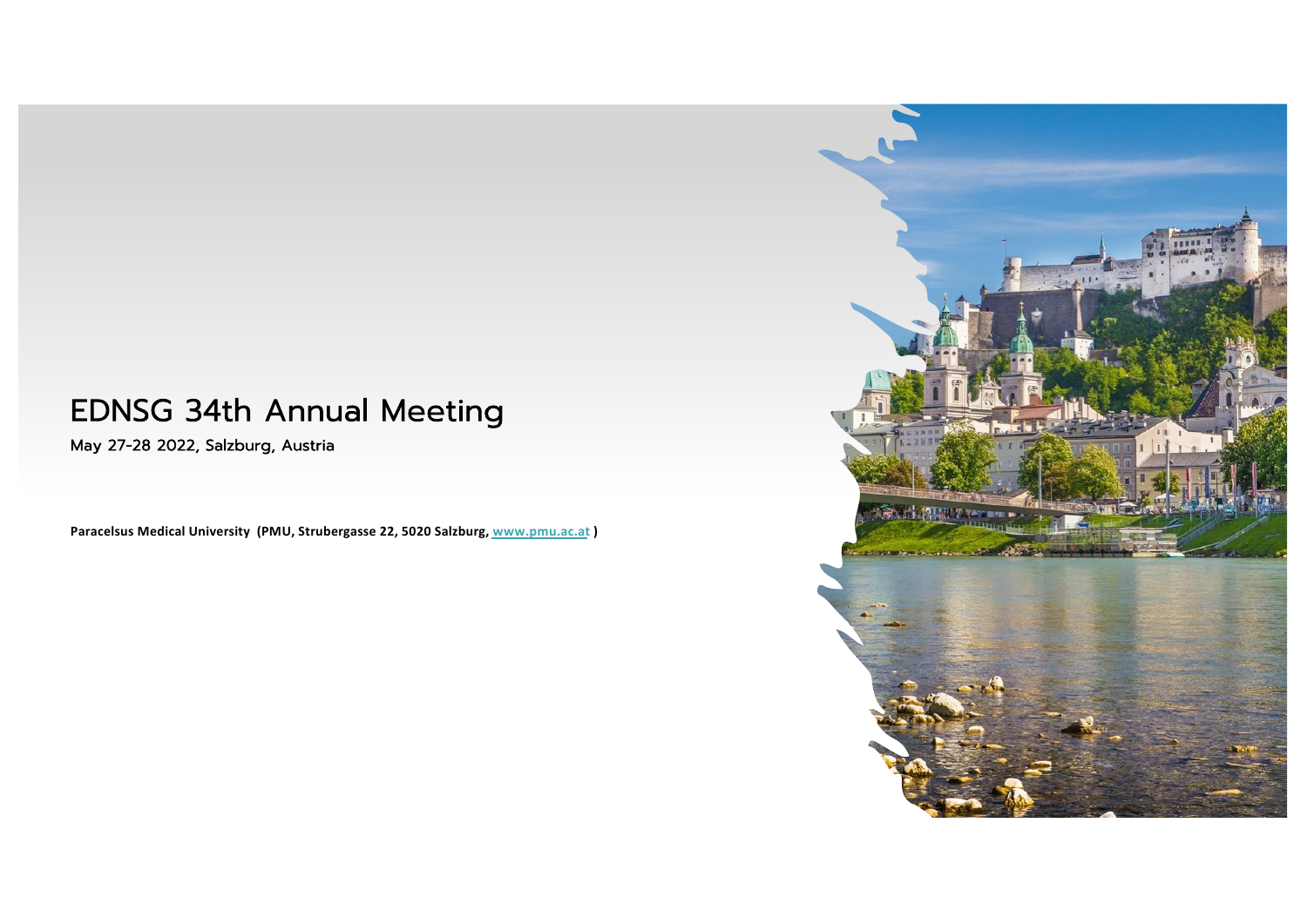## EDNSG 34th Annual Meeting

May 27-28 2022, Salzburg, Austria

**Paracelsus Medical University (PMU, Strubergasse 22, 5020 Salzb[urg, www.pmu.ac](http://www.pmu.ac.at/).at )**

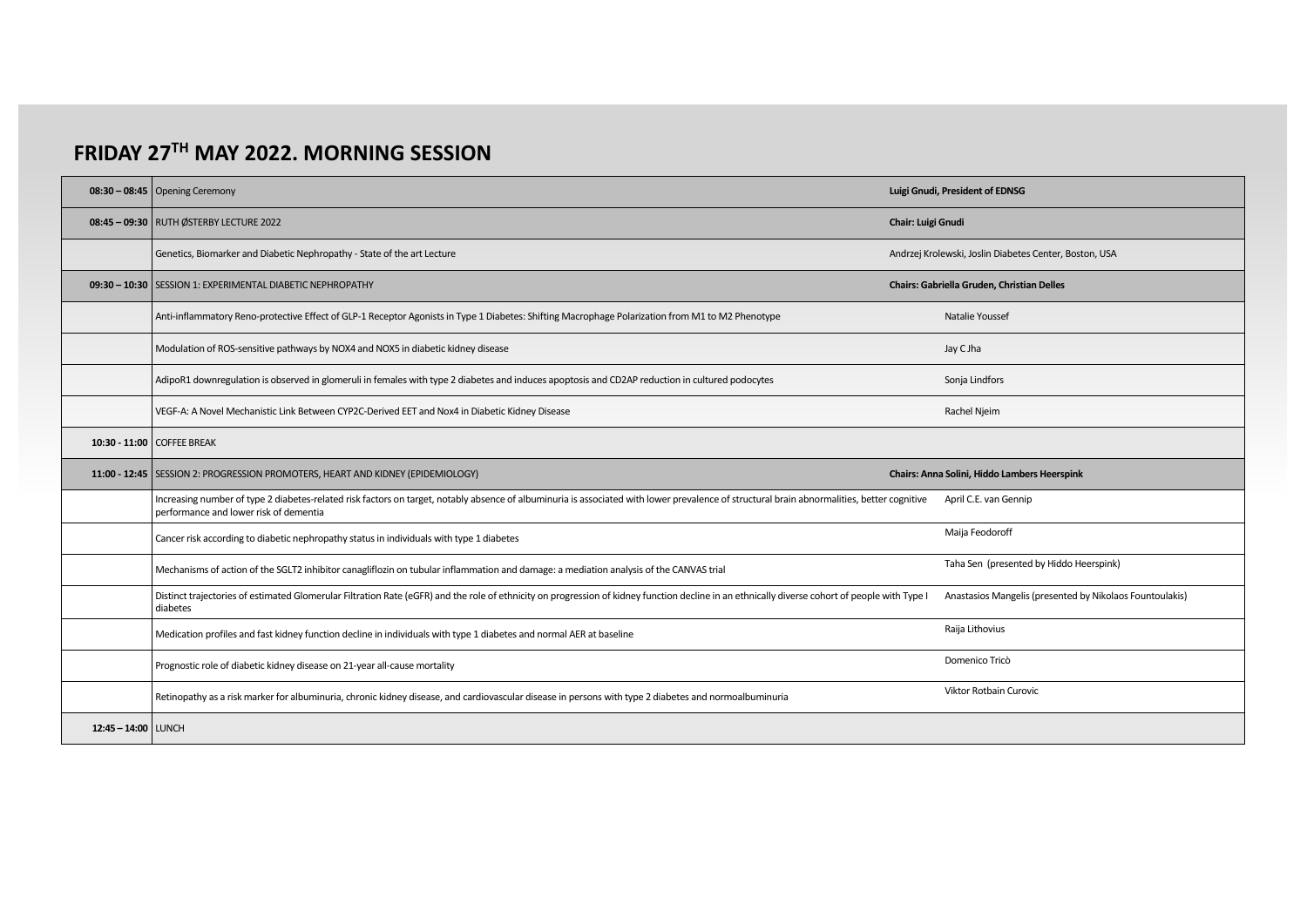## **FRIDAY 27TH MAY 2022. MORNING SESSION**

| $08:30 - 08:45$ Opening Ceremony                                                                                                                                                                                                      | Luigi Gnudi, President of EDNSG                          |  |
|---------------------------------------------------------------------------------------------------------------------------------------------------------------------------------------------------------------------------------------|----------------------------------------------------------|--|
| 08:45 - 09:30 RUTH ØSTERBY LECTURE 2022                                                                                                                                                                                               | Chair: Luigi Gnudi                                       |  |
| Genetics, Biomarker and Diabetic Nephropathy - State of the art Lecture                                                                                                                                                               | Andrzej Krolewski, Joslin Diabetes Center, Boston, USA   |  |
| 09:30 - 10:30 SESSION 1: EXPERIMENTAL DIABETIC NEPHROPATHY                                                                                                                                                                            | Chairs: Gabriella Gruden, Christian Delles               |  |
| Anti-inflammatory Reno-protective Effect of GLP-1 Receptor Agonists in Type 1 Diabetes: Shifting Macrophage Polarization from M1 to M2 Phenotype                                                                                      | Natalie Youssef                                          |  |
| Modulation of ROS-sensitive pathways by NOX4 and NOX5 in diabetic kidney disease                                                                                                                                                      | Jay C Jha                                                |  |
| AdipoR1 downregulation is observed in glomeruli in females with type 2 diabetes and induces apoptosis and CD2AP reduction in cultured podocytes                                                                                       | Sonja Lindfors                                           |  |
| VEGF-A: A Novel Mechanistic Link Between CYP2C-Derived EET and Nox4 in Diabetic Kidney Disease                                                                                                                                        | Rachel Njeim                                             |  |
| 10:30 - 11:00 COFFEE BREAK                                                                                                                                                                                                            |                                                          |  |
| 11:00 - 12:45   SESSION 2: PROGRESSION PROMOTERS, HEART AND KIDNEY (EPIDEMIOLOGY)                                                                                                                                                     | Chairs: Anna Solini, Hiddo Lambers Heerspink             |  |
| Increasing number of type 2 diabetes-related risk factors on target, notably absence of albuminuria is associated with lower prevalence of structural brain abnormalities, better cognitive<br>performance and lower risk of dementia | April C.E. van Gennip                                    |  |
|                                                                                                                                                                                                                                       |                                                          |  |
| Cancer risk according to diabetic nephropathy status in individuals with type 1 diabetes                                                                                                                                              | Maija Feodoroff                                          |  |
| Mechanisms of action of the SGLT2 inhibitor canagliflozin on tubular inflammation and damage: a mediation analysis of the CANVAS trial                                                                                                | Taha Sen (presented by Hiddo Heerspink)                  |  |
| Distinct trajectories of estimated Glomerular Filtration Rate (eGFR) and the role of ethnicity on progression of kidney function decline in an ethnically diverse cohort of people with Type I<br>diabetes                            | Anastasios Mangelis (presented by Nikolaos Fountoulakis) |  |
| Medication profiles and fast kidney function decline in individuals with type 1 diabetes and normal AER at baseline                                                                                                                   | Raija Lithovius                                          |  |
| Prognostic role of diabetic kidney disease on 21-year all-cause mortality                                                                                                                                                             | Domenico Tricò                                           |  |
| Retinopathy as a risk marker for albuminuria, chronic kidney disease, and cardiovascular disease in persons with type 2 diabetes and normoalbuminuria                                                                                 | <b>Viktor Rotbain Curovic</b>                            |  |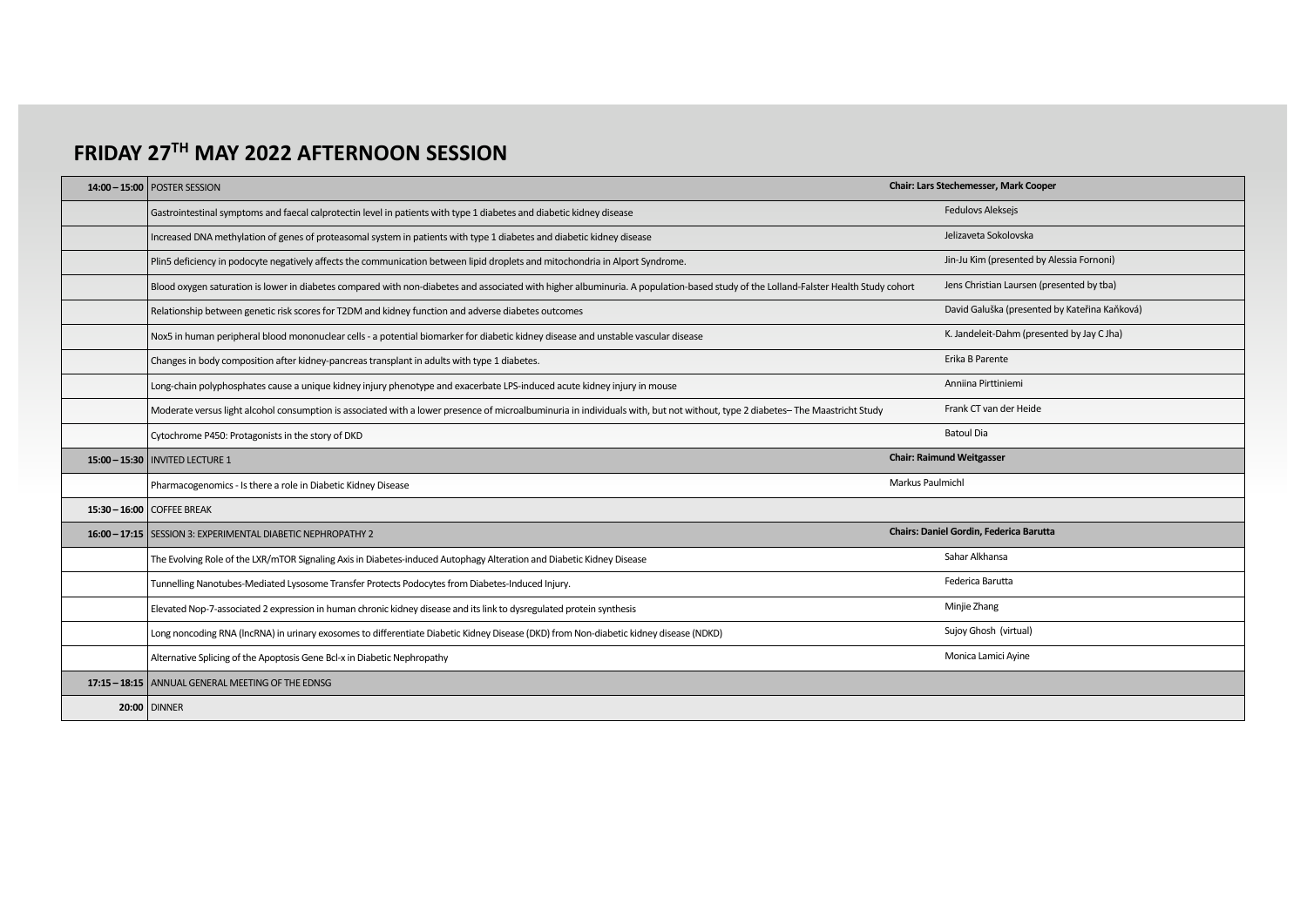## **FRIDAY 27TH MAY 2022 AFTERNOON SESSION**

| 14:00 - 15:00 POSTER SESSION                                                                                                                                                        | Chair: Lars Stechemesser, Mark Cooper         |  |
|-------------------------------------------------------------------------------------------------------------------------------------------------------------------------------------|-----------------------------------------------|--|
| Gastrointestinal symptoms and faecal calprotectin level in patients with type 1 diabetes and diabetic kidney disease                                                                | Fedulovs Aleksejs                             |  |
| Increased DNA methylation of genes of proteasomal system in patients with type 1 diabetes and diabetic kidney disease                                                               | Jelizaveta Sokolovska                         |  |
| Plin5 deficiency in podocyte negatively affects the communication between lipid droplets and mitochondria in Alport Syndrome.                                                       | Jin-Ju Kim (presented by Alessia Fornoni)     |  |
| Blood oxygen saturation is lower in diabetes compared with non-diabetes and associated with higher albuminuria. A population-based study of the Lolland-Falster Health Study cohort | Jens Christian Laursen (presented by tba)     |  |
| Relationship between genetic risk scores for T2DM and kidney function and adverse diabetes outcomes                                                                                 | David Galuška (presented by Kateřina Kaňková) |  |
| Nox5 in human peripheral blood mononuclear cells - a potential biomarker for diabetic kidney disease and unstable vascular disease                                                  | K. Jandeleit-Dahm (presented by Jay C Jha)    |  |
| Changes in body composition after kidney-pancreas transplant in adults with type 1 diabetes.                                                                                        | Erika B Parente                               |  |
| Long-chain polyphosphates cause a unique kidney injury phenotype and exacerbate LPS-induced acute kidney injury in mouse                                                            | Anniina Pirttiniemi                           |  |
| Moderate versus light alcohol consumption is associated with a lower presence of microalbuminuria in individuals with, but not without, type 2 diabetes-The Maastricht Study        | Frank CT van der Heide                        |  |
| Cytochrome P450: Protagonists in the story of DKD                                                                                                                                   | <b>Batoul Dia</b>                             |  |
| 15:00 - 15:30   INVITED LECTURE 1                                                                                                                                                   | <b>Chair: Raimund Weitgasser</b>              |  |
| Pharmacogenomics - Is there a role in Diabetic Kidney Disease                                                                                                                       | Markus Paulmichl                              |  |
| $15:30 - 16:00$ COFFEE BREAK                                                                                                                                                        |                                               |  |
| 16:00 - 17:15 SESSION 3: EXPERIMENTAL DIABETIC NEPHROPATHY 2                                                                                                                        | Chairs: Daniel Gordin, Federica Barutta       |  |
| The Evolving Role of the LXR/mTOR Signaling Axis in Diabetes-induced Autophagy Alteration and Diabetic Kidney Disease                                                               | Sahar Alkhansa                                |  |
| Tunnelling Nanotubes-Mediated Lysosome Transfer Protects Podocytes from Diabetes-Induced Injury.                                                                                    | Federica Barutta                              |  |
| Elevated Nop-7-associated 2 expression in human chronic kidney disease and its link to dysregulated protein synthesis                                                               | Minjie Zhang                                  |  |
| Long noncoding RNA (IncRNA) in urinary exosomes to differentiate Diabetic Kidney Disease (DKD) from Non-diabetic kidney disease (NDKD)                                              | Sujoy Ghosh (virtual)                         |  |
| Alternative Splicing of the Apoptosis Gene Bcl-x in Diabetic Nephropathy                                                                                                            | Monica Lamici Ayine                           |  |
| 17:15 - 18:15   ANNUAL GENERAL MEETING OF THE EDNSG                                                                                                                                 |                                               |  |
| <b>20:00 DINNER</b>                                                                                                                                                                 |                                               |  |